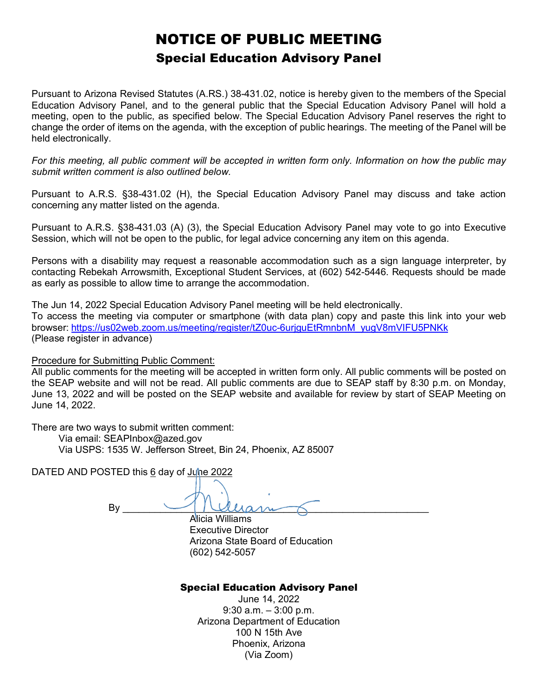### NOTICE OF PUBLIC MEETING Special Education Advisory Panel

Pursuant to Arizona Revised Statutes (A.RS.) 38-431.02, notice is hereby given to the members of the Special Education Advisory Panel, and to the general public that the Special Education Advisory Panel will hold a meeting, open to the public, as specified below. The Special Education Advisory Panel reserves the right to change the order of items on the agenda, with the exception of public hearings. The meeting of the Panel will be held electronically.

*For this meeting, all public comment will be accepted in written form only. Information on how the public may submit written comment is also outlined below.*

Pursuant to A.R.S. §38-431.02 (H), the Special Education Advisory Panel may discuss and take action concerning any matter listed on the agenda.

Pursuant to A.R.S. §38-431.03 (A) (3), the Special Education Advisory Panel may vote to go into Executive Session, which will not be open to the public, for legal advice concerning any item on this agenda.

Persons with a disability may request a reasonable accommodation such as a sign language interpreter, by contacting Rebekah Arrowsmith, Exceptional Student Services, at (602) 542-5446. Requests should be made as early as possible to allow time to arrange the accommodation.

The Jun 14, 2022 Special Education Advisory Panel meeting will be held electronically. To access the meeting via computer or smartphone (with data plan) copy and paste this link into your web browser: [https://us02web.zoom.us/meeting/register/tZ0uc-6urjguEtRmnbnM\\_yugV8mVIFU5PNKk](https://us02web.zoom.us/meeting/register/tZ0uc-6urjguEtRmnbnM_yugV8mVIFU5PNKk) (Please register in advance)

Procedure for Submitting Public Comment:

All public comments for the meeting will be accepted in written form only. All public comments will be posted on the SEAP website and will not be read. All public comments are due to SEAP staff by 8:30 p.m. on Monday, June 13, 2022 and will be posted on the SEAP website and available for review by start of SEAP Meeting on June 14, 2022.

There are two ways to submit written comment:

 Via email: SEAPInbox@azed.gov Via USPS: 1535 W. Jefferson Street, Bin 24, Phoenix, AZ 85007

DATED AND POSTED this 6 day of June 2022

 $By \_\_\_\_\_\_\_$ 

Alicia Williams Executive Director Arizona State Board of Education (602) 542-5057

#### Special Education Advisory Panel

June 14, 2022 9:30 a.m. – 3:00 p.m. Arizona Department of Education 100 N 15th Ave Phoenix, Arizona (Via Zoom)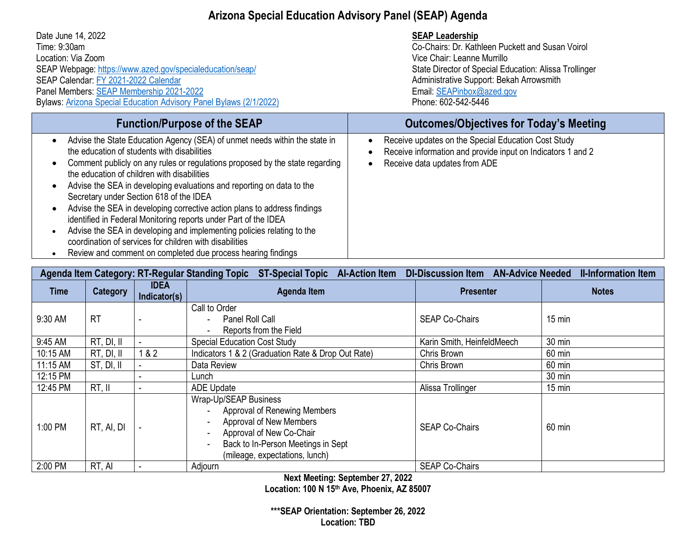#### **Arizona Special Education Advisory Panel (SEAP) Agenda**

| Date June 14, 2022<br>Time: 9:30am<br>Location: Via Zoom<br>SEAP Webpage: https://www.azed.gov/specialeducation/seap/<br>SEAP Calendar: FY 2021-2022 Calendar<br>Panel Members: SEAP Membership 2021-2022<br>Bylaws: Arizona Special Education Advisory Panel Bylaws (2/1/2022)                                                                                                                                                                                                                                                                                                                                                                                                                                                                                                                   | <b>SEAP Leadership</b><br>Co-Chairs: Dr. Kathleen Puckett and Susan Voirol<br>Vice Chair: Leanne Murrillo<br>State Director of Special Education: Alissa Trollinger<br>Administrative Support: Bekah Arrowsmith<br>Email: SEAPinbox@azed.gov<br>Phone: 602-542-5446 |
|---------------------------------------------------------------------------------------------------------------------------------------------------------------------------------------------------------------------------------------------------------------------------------------------------------------------------------------------------------------------------------------------------------------------------------------------------------------------------------------------------------------------------------------------------------------------------------------------------------------------------------------------------------------------------------------------------------------------------------------------------------------------------------------------------|---------------------------------------------------------------------------------------------------------------------------------------------------------------------------------------------------------------------------------------------------------------------|
| <b>Function/Purpose of the SEAP</b>                                                                                                                                                                                                                                                                                                                                                                                                                                                                                                                                                                                                                                                                                                                                                               | <b>Outcomes/Objectives for Today's Meeting</b>                                                                                                                                                                                                                      |
| Advise the State Education Agency (SEA) of unmet needs within the state in<br>$\bullet$<br>the education of students with disabilities<br>Comment publicly on any rules or regulations proposed by the state regarding<br>the education of children with disabilities<br>Advise the SEA in developing evaluations and reporting on data to the<br>$\bullet$<br>Secretary under Section 618 of the IDEA<br>Advise the SEA in developing corrective action plans to address findings<br>$\bullet$<br>identified in Federal Monitoring reports under Part of the IDEA<br>Advise the SEA in developing and implementing policies relating to the<br>$\bullet$<br>coordination of services for children with disabilities<br>Review and comment on completed due process hearing findings<br>$\bullet$ | Receive updates on the Special Education Cost Study<br>Receive information and provide input on Indicators 1 and 2<br>Receive data updates from ADE                                                                                                                 |

| DI-Discussion Item AN-Advice Needed<br>Agenda Item Category: RT-Regular Standing Topic<br><b>ST-Special Topic Al-Action Item</b><br><b>II-Information Item</b> |                 |                             |                                                                                                                                                                                      |                            |                  |
|----------------------------------------------------------------------------------------------------------------------------------------------------------------|-----------------|-----------------------------|--------------------------------------------------------------------------------------------------------------------------------------------------------------------------------------|----------------------------|------------------|
| <b>Time</b>                                                                                                                                                    | <b>Category</b> | <b>IDEA</b><br>Indicator(s) | <b>Agenda Item</b>                                                                                                                                                                   | <b>Presenter</b>           | <b>Notes</b>     |
| 9:30 AM                                                                                                                                                        | <b>RT</b>       |                             | Call to Order<br>Panel Roll Call<br>Reports from the Field                                                                                                                           | <b>SEAP Co-Chairs</b>      | $15 \text{ min}$ |
| 9:45 AM                                                                                                                                                        | RT, DI, II      |                             | <b>Special Education Cost Study</b>                                                                                                                                                  | Karin Smith, HeinfeldMeech | 30 min           |
| 10:15 AM                                                                                                                                                       | RT, DI, II      | 1&82                        | Indicators 1 & 2 (Graduation Rate & Drop Out Rate)                                                                                                                                   | Chris Brown                | 60 min           |
| 11:15 AM                                                                                                                                                       | ST, DI, II      |                             | Data Review                                                                                                                                                                          | Chris Brown                | 60 min           |
| 12:15 PM                                                                                                                                                       |                 |                             | Lunch                                                                                                                                                                                |                            | 30 min           |
| 12:45 PM                                                                                                                                                       | RT, II          |                             | <b>ADE Update</b>                                                                                                                                                                    | Alissa Trollinger          | $15$ min         |
| 1:00 PM                                                                                                                                                        | RT, AI, DI      |                             | Wrap-Up/SEAP Business<br>Approval of Renewing Members<br>Approval of New Members<br>Approval of New Co-Chair<br>Back to In-Person Meetings in Sept<br>(mileage, expectations, lunch) | <b>SEAP Co-Chairs</b>      | 60 min           |
| 2:00 PM                                                                                                                                                        | RT, AI          |                             | Adjourn                                                                                                                                                                              | <b>SEAP Co-Chairs</b>      |                  |

**Next Meeting: September 27, 2022**

**Location: 100 N 15th Ave, Phoenix, AZ 85007**